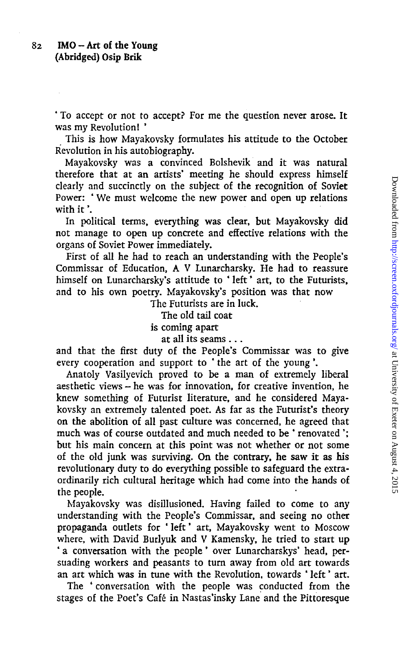' To accept or not to accept? For me the question never arose. It was my Revolution! '

This is how Mayakovsky formulates his attitude to the October Revolution in his autobiography.

Mayakovsky was a convinced Bolshevik and it was natural therefore that at an artists' meeting he should express himself clearly and succinctly on the subject of the recognition of Soviet Power: ' We must welcome the new power and open up relations with it'.

In political terms, everything was clear, but Mayakovsky did not manage to open up concrete and effective relations with the organs of Soviet Power immediately.

First of all he had to reach an understanding with the People's Commissar of Education, A V Lunarcharsky. He had to reassure himself on Lunarcharsky's attitude to ' left \* art, to the Futurists, and to his own poetry. Mayakovsky's position was that now

The Futurists are in luck.

The old tail coat

is coming apart

at all its seams .. .

and that the first duty of the People's Commissar was to give every cooperation and support to ' the art of the young'.

Anatoly Vasilyevich proved to be a man of extremely liberal aesthetic views - he was for innovation, for creative invention, he knew something of Futurist literature, and he considered Mayakovsky an extremely talented poet. As far as the Futurist's theory on the abolition of all past culture was concerned, he agreed that much was of course outdated and much needed to be \* renovated '; but his main concern at this point was not whether or not some of the old junk was surviving. On the contrary, he saw it as bis revolutionary duty to do everything possible to safeguard the extraordinarily rich cultural heritage which had come into the hands of the people.

Mayakovsky was disillusioned. Having failed to come to any understanding with the People's Commissar, and seeing no other propaganda outlets for ' left' art, Mayakovsky went to Moscow where, with David Burlyuk and V Kamensky, he tried to start up ' a conversation with the people' over Lunarcharskys' head, persuading workers and peasants to turn away from old art towards an art which was in tune with the Revolution, towards ' left' art.

The ' conversation with the people was conducted from the stages of the Poet's Cafe in Nastas'insky Lane and the Pittoresque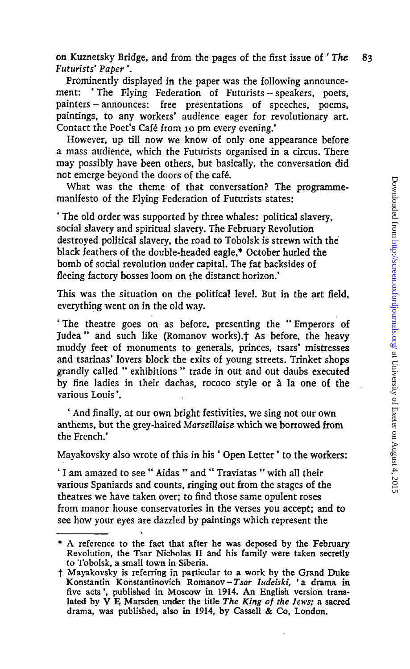on Kuznetsky Bridge, and from the pages of the first issue of ' *The* 83 *Futurists' Paper'.*

Prominently displayed in the paper was the following announcement: 'The Flying Federation of Futurists - speakers, poets, painters - announces: free presentations of speeches, poems, paintings, to any workers' audience eager for revolutionary art. Contact the Poet's Cafe from 10 pm every evening.'

However, up till now we know of only one appearance before a mass audience, which the Futurists organised in a circus. There may possibly have been others, but basically, the conversation did not emerge beyond the doors of the cafe.

What was the theme of that conversation? The programmemanifesto of the Flying Federation of Futurists states:

' The old order was supported by three whales: political slavery, social slavery and spiritual slavery. The February Revolution destroyed political slavery, the road to Tobolsk is strewn with the black feathers of the double-headed eagle,\* October hurled the bomb of social revolution under capital. The fat backsides of fleeing factory bosses loom on the distanct horizon.'

This was the situation on the political level. But in the art field, everything went on in the old way.

' The theatre goes on as before, presenting the " Emperors of Judea " and such like (Romanov works).<sup>†</sup> As before, the heavy muddy feet of monuments to generals, princes, tsars' mistresses and tsarinas' lovers block the exits of young streets. Trinket shops grandly called " exhibitions " trade in out and out daubs executed by fine ladies in their dachas, rococo style or a la one of the various Louis'.

' And finally, at our own bright festivities, we sing not our own anthems, but the grey-haired *Marseillaise* which we borrowed from the French.'

Mayakovsky also wrote of this in his ' Open Letter' to the workers:

' I am amazed to see " Aidas " and " Traviatas " with all their various Spaniards and counts, ringing out from the stages of the theatres we have taken over; to find those same opulent roses from manor house conservatories in the verses you accept; and to see how your eyes are dazzled by paintings which represent the

<sup>\*</sup> A reference to the fact that after he was deposed by the February Revolution, the Tsar Nicholas II and his family were taken secretly to Tobolsk, a small town in Siberia.<br>† Mayakovsky is referring in particular to a work by the Grand Duke

Konstantin Konstantinovich Romanov - Tsar Iudeiski, 'a drama in five acts', published in Moscow in 1914. An English version translated by  $V E$  Marsden under the title *The King of the Jews*; a sacred drama, was published, also in 1914, by Cassell & Co, London.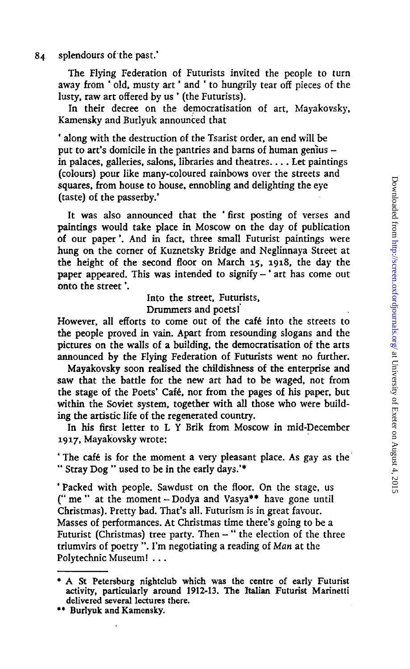## 84 splendours of the past."

The Flying Federation of Futurists invited the people to turn away from ' old, musty art' and ' to hungrily tear off pieces of the lusty, raw art offered by us ' (the Futurists).

In their decree on the democratisation of art, Mayakovsky, Kamensky and Burlyuk announced that

' along with the destruction of the Tsarist order, an end will be put to art's domicile in the pantries and barns of human genius in palaces, galleries, salons, libraries and theatres,  $\dots$ . Let paintings (colours) pour like many-coloured rainbows over the streets and squares, from house to house, ennobling and delighting the eye (taste) of the passerby.'

It was also announced that the ' first posting of verses and paintings would take place in Moscow on the day of publication of our paper'. And in fact, three small Futurist paintings were hung on the corner of Kuznetsky Bridge and Neglinnaya Street at the height of the second floor on March 15, 1918, the day the paper appeared. This was intended to signify  $-$  ' art has come out onto the street'.

> Into the street, Futurists, Drummers and poets!

However, all efforts to come out of the cafe into the streets to the people proved in vain. Apart from resounding slogans and the pictures on the walls of a building, the democratisation of the arts announced by the Flying Federation of Futurists went no further.

Mayakovsky soon realised the childishness of the enterprise and saw that the battle for the new art had to be waged, not from the stage of the Poets' Cafe, nor from the pages of his paper, but within the Soviet system, together with all those who were building the artistic life of the regenerated country.

In his first letter to L Y Brik from Moscow in mid-December 1917, Mayakovsky wrote:

' The cafe is for the moment a very pleasant place. As gay as the " Stray Dog " used to be in the early days.'\*

' Packed with people. Sawdust on the floor. On the stage, us ("me " at the moment-Dodya and Vasya\*\* have gone until Christmas). Pretty bad. That's all. Futurism is in great favour. Masses of performances. At Christmas time there's going to be a Futurist (Christmas) tree party. Then - " the election of the three triumvirs of poetry ". I'm negotiating a reading of *Man* at the Polytechnic Museum! .. .

<sup>\*</sup> A St Petersburg nightclub which was the centre of early Futurist activity, particularly around 1912-13. The Italian Futurist Marinetti delivered several lectures there. •\* Burlyuk and Kamensky.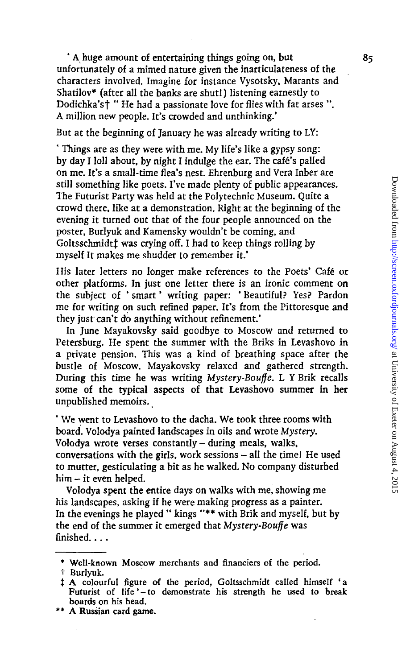Downloaded from http://screen.oxfordjournals.org/ at University of Exeter on August 4, 2015 Downloaded from <http://screen.oxfordjournals.org/> at University of Exeter on August 4, 2015

unfortunately of a mimed nature given the inarticulateness of the characters involved. Imagine for instance Vysotsky, Marants and Shatilov\* (after all the banks are shut!) listening earnestly to Dodichka'sf " He had a passionate love for flies with fat arses ". A million new people. It's crowded and unthinking.'

But at the beginning of January he was already writing to LY:

' Things are as they were with me. My life's like a gypsy song: by day I loll about, by night I indulge the ear. The cafe's palled on me. It's a small-time flea's nest. Ehrenburg and Vera Inber are still something like poets. I've made plenty of public appearances. The Futurist Party was held at the Polytechnic Museum. Quite a crowd there, like at a demonstration. Right at the beginning of the evening it turned out that of the four people announced on the poster, Burlyuk and Kamensky wouldn't be coming, and Goltsschmidt<sup>†</sup> was crying off. I had to keep things rolling by myself It makes me shudder to remember it.'

His later letters no longer make references to the Poets' Cafe or other platforms. In just one letter there is an ironic comment on the subject of ' smart' writing paper: ' Beautiful? Yes? Pardon me for writing on such refined paper. It's from the Pittoresque and they just can't do anything without refinement.'

In June Mayakovsky said goodbye to Moscow and returned to Petersburg. He spent the summer with the Briks in Levashovo in a private pension. This was a kind of breathing space after the bustle of Moscow. Mayakovsky relaxed and gathered strength. During this time he was writing *Mystery-Bouffe.* L Y Brik recalls some of the typical aspects of that Levashovo summer in her unpublished memoirs.

' We went to Levashovo to the dacha. We took three rooms with board. Volodya painted landscapes in oils and wrote *Mystery.* Volodya wrote verses constantly — during meals, walks, conversations with the girls, work sessions  $-$  all the time! He used to mutter, gesticulating a bit as he walked. No company disturbed him — it even helped.

Volodya spent the entire days on walks with me, showing me his landscapes, asking if he were making progress as a painter. In the evenings he played " kings "\*\* with Brik and myself, but by the end of the summer it emerged that *Mystery-Bouffe* was finished....

\*\* A Russian card game.

<sup>\*</sup> Well-known Moscow merchants and financiers of the period.

t Burlyuk.

<sup>&</sup>lt;sup> $\dagger$ </sup> A colourful figure of the period, Goltsschmidt called himself 'a Futurist of life'-to demonstrate his strength he used to break boards on his head.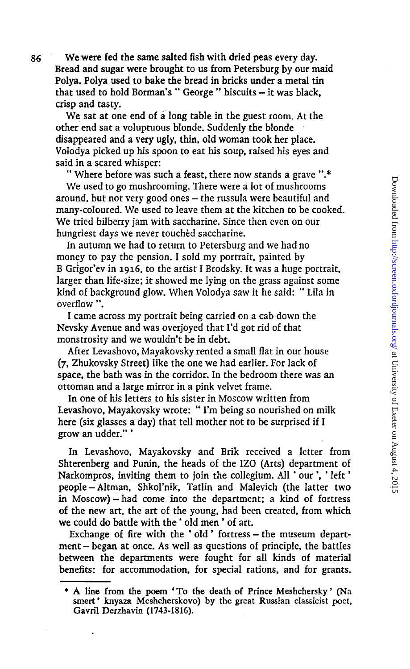86 We were fed the same salted fish with dried peas every day. Bread and sugar were brought to us from Petersburg by our maid Polya. Polya used to bake the bread in bricks under a metal tin that used to hold Borman's " George " biscuits - it was black, crisp and tasty.

We sat at one end of a long table in the guest room. At the other end sat a voluptuous blonde. Suddenly the blonde disappeared and a very ugly, thin, old woman took her place. Volodya picked up his spoon to eat his soup, raised his eyes and said in a scared whisper:

" Where before was such a feast, there now stands a grave ".\* We used to go mushrooming. There were a lot of mushrooms around, but not very good ones — the russula were beautiful and many-coloured. We used to leave them at the kitchen to be cooked. We tried bilberry jam with saccharine. Since then even on our hungriest days we never touched saccharine.

In autumn we had to return to Petersburg and we had no money to pay the pension. I sold my portrait, painted by B Grigor'ev in 1916, to the artist I Brodsky. It was a huge portrait, larger than life-size; it showed me lying on the grass against some kind of background glow. When Volodya saw it he said: " Lila in overflow ".

I came across my portrait being carried on a cab down the Nevsky Avenue and was overjoyed that I'd got rid of that monstrosity and we wouldn't be in debt.

After Levashovo, Mayakovsky rented a small flat in our house (7, Zhukovsky Street) like the one we had earlier. For lack of space, the bath was in the corridor. In the bedroom there was an ottoman and a large mirror in a pink velvet frame.

In one of his letters to his sister in Moscow written from Levashovo, Mayakovsky wrote: " I'm being so nourished on milk here (six glasses a day) that tell mother not to be surprised if I grow an udder."'

In Levashovo, Mayakovsky and Brik received a letter from Shterenberg and Punin, the heads of the IZO (Arts) department of Narkompros, inviting them to join the collegium. All ' our', ' left' people - Altman, Shkol'nik, Tatlin and Malevich (the latter two in Moscow) $-$ had come into the department; a kind of fortress of the new art, the art of the young, had been created, from which we could do battle with the' old men ' of art.

Exchange of fire with the ' old ' fortress — the museum department - began at once. As well as questions of principle, the battles between the departments were fought for all kinds of material benefits: for accommodation, for special rations, and for grants.

<sup>\*</sup> A line from the poem ' To the death of Prince Meshchersky' (Na smert' knyaza Meshcherskovo) by the great Russian classicist poet, Gavril Derzhavin (1743-1816).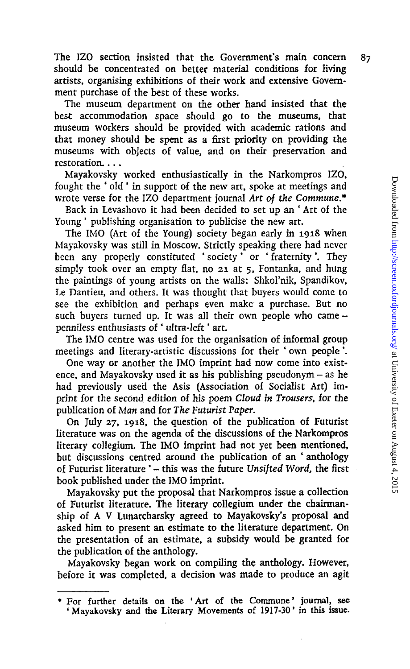The IZO section insisted that the Government's main concern 87 should be concentrated on better material conditions for living artists, organising exhibitions of their work and extensive Government purchase of the best of these works.

The museum department on the other hand insisted that the best accommodation space should go to the museums, that museum workers should be provided with academic rations and that money should be spent as a first priority on providing the museums with objects of value, and on their preservation and restoration....

Mayakovsky worked enthusiastically in the Narkompros IZO, fought the ' old ' in support of the new art, spoke at meetings and wrote verse for the IZO department journal *Art of the Commune.\**

Back in Levashovo it had been decided to set up an ' Art of the Young ' publishing organisation to publicise the new art.

The IMO (Art of the Young) society began early in 1918 when Mayakovsky was still in Moscow. Strictly speaking there had never been any properly constituted ' society ' or ' fraternity '. They simply took over an empty flat, no 21 at 5, Fontanka, and hung the paintings of young artists on the walls: Shkol'nik, Spandikov, Le Dantieu, and others. It was thought that buyers would come to see the exhibition and perhaps even make' a purchase. But no such buyers turned up. It was all their own people who came penniless enthusiasts of' ultra-left' art.

The IMO centre was used for the organisation of informal group meetings and literary-artistic discussions for their ' own people'.

One way or another the IMO imprint had now come into existence, and Mayakovsky used it as his publishing pseudonym  $-$  as he had previously used the Asis (Association of Socialist Art) imprint for the second edition of his poem *Cloud in Trousers,* for the publication of *Man* and for *The Futurist Paper.*

On July 27, 1918, the question of the publication of Futurist literature was on the agenda of the discussions of the Narkompros literary collegium. The IMO imprint had not yet been mentioned, but discussions centred around the publication of an ' anthology of Futurist literature ' - this was the future *Unsifted Word,* the first book published under the IMO imprint.

Mayakovsky put the proposal that Narkompros issue a collection of Futurist literature. The literary collegium under the chairmanship of A V Lunarcharsky agreed to Mayakovsky's proposal and asked him to present an estimate to the literature department. On the presentation of an estimate, a subsidy would be granted for the publication of the anthology.

Mayakovsky began work on compiling the anthology. However, before it was completed, a decision was made to produce an agit

<sup>\*</sup> For further details on the 'Art of the Commune' journal, see ' Mayakovsky and the Literary Movements of 1917-30' in this issue.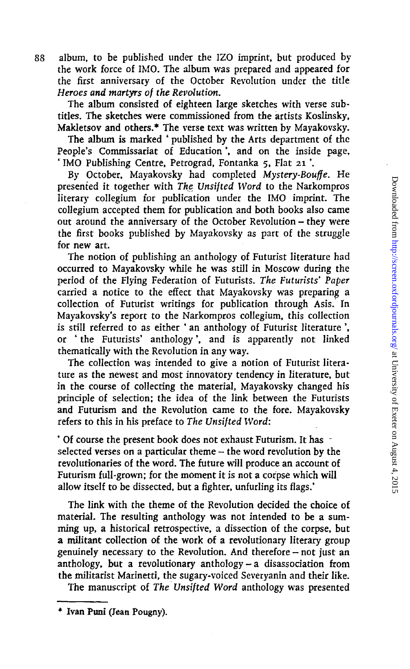88 album, to be published under the IZO imprint, but produced by the work force of IMO. The album was prepared and appeared for the first anniversary of the October Revolution under the title *Heroes and martyrs of the Revolution.*

The album consisted of eighteen large sketches with verse subtitles. The sketches were commissioned from the artists Koslinsky, Makletsov and others.\* The verse text was written by Mayakovsky.

The album is marked ' published by the Arts department of the People's Commissariat of Education ', and on the inside page, ' IMO Publishing Centre, Petrograd, Fontanka 5, Flat 21'.

By October, Mayakovsky had completed *Mystery-Bouffe.* He presented it together with *The- Unsifted Word* to the Narkompros literary collegium for publication under the IMO imprint. The collegium accepted them for publication and both books also came out around the anniversary of the October Revolution — they were the first books published by Mayakovsky as part of the struggle for new art.

The notion of publishing an anthology of Futurist literature had occurred to Mayakovsky while he was still in Moscow during the period of the Flying Federation of Futurists. *The Futurists' Paper* carried a notice to the effect that Mayakovsky was preparing a collection of Futurist writings for publication through Asis. In Mayakovsky's report to the Narkompros collegium, this collection is still referred to as either ' an anthology of Futurist literature', or ' the Futurists' anthology', and is apparently not linked thematically with the Revolution in any way.

The collection was intended to give a notion of Futurist literature as the newest and most innovatory tendency in literature, but in the course of collecting the material, Mayakovsky changed his principle of selection; the idea of the link between the Futurists and Futurism and the Revolution came to the fore. Mayakovsky refers to this in his preface to *The Unsifted Word:*

*'* Of course the present book does not exhaust Futurism. It has selected verses on a particular theme  $-$  the word revolution by the revolutionaries of the word. The future will produce an account of Futurism full-grown; for the moment it is not a corpse which will allow itself to be dissected, but a fighter, unfurling its flags.'

The link with the theme of the Revolution decided the choice of material. The resulting anthology was not intended to be a summing up, a historical retrospective, a dissection of the corpse, but a militant collection of the work of a revolutionary literary group genuinely necessary to the Revolution. And therefore  $-$  not just an anthology, but a revolutionary anthology-a disassociation from the militarist Marinetti, the sugary-voiced Severyanin and their like.

The manuscript of *The Unsifted Word* anthology was presented

<sup>\*</sup> Ivan Puni (Jean Pougny).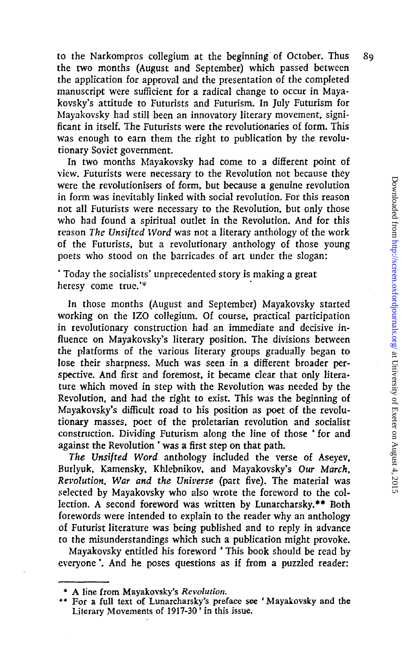to the Narkompros collegium at the beginning of October. Thus 89 the two months (August and September) which passed between the application for approval and the presentation of the completed manuscript were sufficient for a radical change to occur in Mayakovsky's attitude to Futurists and Futurism. In July Futurism for Mayakovsky had still been an innovatory literary movement, significant in itself. The Futurists were the revolutionaries of form. This was enough to earn them the right to publication by the revolutionary Soviet government.

In two months Mayakovsky had come to a different point of view. Futurists were necessary to the Revolution not because they were the revolutionisers of form, but because a genuine revolution in form was inevitably linked with social revolution. For this reason not all Futurists were necessary to the Revolution, but only those who had found a spiritual outlet in the Revolution. And for this reason *The Unsifted Word* was not a literary anthology of the work of the Futurists, but a revolutionary anthology of those young poets who stood on the barricades of art under the slogan:

' Today the socialists' unprecedented story is making a great heresy come true.'\*

In those months (August and September) Mayakovsky started working on the IZO collegium. Of course, practical participation in revolutionary construction had an immediate and decisive influence on Mayakovsky's literary position. The divisions between the platforms of the various literary groups gradually began to lose their sharpness. Much was seen in a different broader perspective. And first and foremost, it became clear that only literature which moved in step with the Revolution was needed by the Revolution, and had the right to exist. This was the beginning of Mayakovsky's difficult road to his position as poet of the revolutionary masses, poet of the proletarian revolution and socialist construction. Dividing Futurism along the line of those ' for and against the Revolution ' was a first step on that path.

*The Unsifted Word* anthology included the verse of Aseyev, Burlyuk, Kamensky, Khlebnikov, and Mayakovsky's *Our March, Revolution, War and the Universe* (part five). The material was selected by Mayakovsky who also wrote the foreword to the collection. A second foreword was written by Lunarcharsky.\*\* Both forewords were intended to explain to the reader why an anthology of Futurist literature was being published and to reply in advance to the misunderstandings which such a publication might provoke.

Mayakovsky entitled his foreword ' This book should be read by everyone'. And he poses questions as if from a puzzled reader:

<sup>\*</sup> A line from Mayakovsky's *Revolution.*

*<sup>\*\*</sup>* For a full text of Lunarcharsky's preface sec 'Mayakovsky and the Literary Movements of 1917-30' in this issue.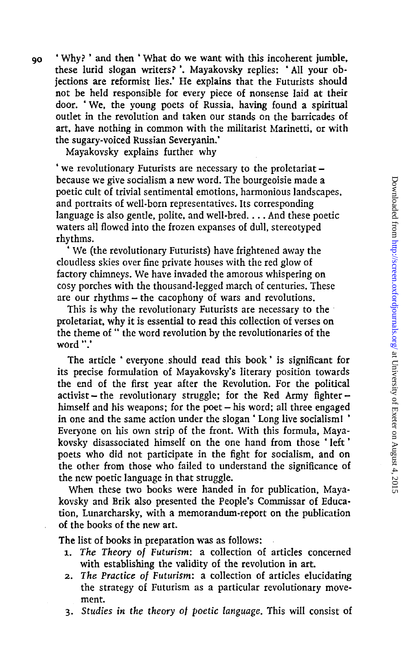90 ' Why? ' and then ' What do we want with this incoherent jumble, these lurid slogan writers? '. Mayakovsky replies: ' All your objections are reformist lies.' He explains that the Futurists should not be held responsible for every piece of nonsense laid at their door. ' We, the young poets of Russia, having found a spiritual outlet in the revolution and taken our stands on the barricades of art, have nothing in common with the militarist Marinetti, or with the sugary-voiced Russian Severyanin."

Mayakovsky explains further why

' we revolutionary Futurists are necessary to the proletariat because we give socialism a new word. The bourgeoisie made a poetic cult of trivial sentimental emotions, harmonious landscapes, and portraits of well-born representatives. Its corresponding language is also gentle, polite, and well-bred.... And these poetic waters all flowed into the frozen expanses of dull, stereotyped rhythms.

' We (the revolutionary Futurists) have frightened away the cloudless skies over fine private houses with the red glow of factory chimneys. We have invaded the amorous whispering on cosy porches with the thousand-legged march of centuries. These are our rhythms - the cacophony of wars and revolutions.

This is why the revolutionary Futurists are necessary to the proletariat, why it is essential to read this collection of verses on the theme of " the word revolution by the revolutionaries of the word "."

The article \* everyone.should read this book' is significant for its precise formulation of Mayakovsky's literary position towards the end of the first year after the Revolution. For the political activist – the revolutionary struggle; for the Red Army fighter – himself and his weapons; for the poet – his word; all three engaged in one and the same action under the slogan ' Long live socialism! ' Everyone on his own strip of the front. With this formula, Mayakovsky disassociated himself on the one hand from those ' left' poets who did not participate in the fight for socialism, and on the other from those who failed to understand the significance of the new poetic language in that struggle.

When these two books were handed in for publication, Mayakovsky and Brik also presented the People's Commissar of Education, Lunarcharsky, with a memorandum-report on the publication of the books of the new art.

The list of books in preparation was as follows:

- 1. *The Theory of Futurism:* a collection of articles concerned with establishing the validity of the revolution in art.
- 2. *The Practice of Futurism:* a collection of articles elucidating the strategy of Futurism as a particular revolutionary movement.
- 3. *Studies in the theory of poetic language.* This will consist of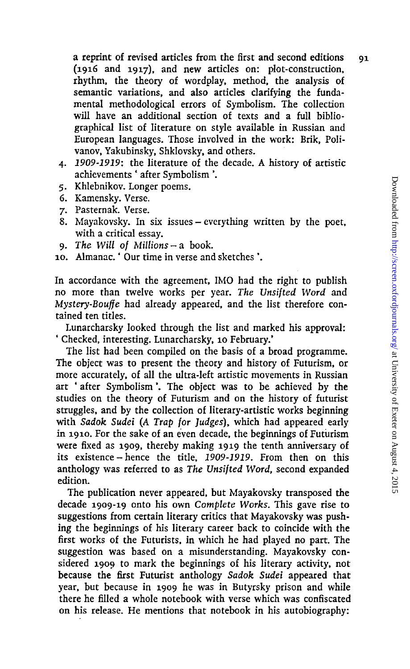a reprint of revised articles from the first and second editions 91 (1916 and 1917), and new articles on: plot-construction, rhythm, the theory of wordplay, method, the analysis of semantic variations, and also articles clarifying the fundamental methodological errors of Symbolism. The collection will have an additional section of texts and a full bibliographical list of literature on style available in Russian and European languages. Those involved in the work: Brik, Polivanov, Yakubinsky, Shklovsky, and others.

- 4. *1909-1919:* the literature of the decade. A history of artistic achievements ' after Symbolism '.
- 5. Khlebnikov. Longer poems.
- 6. Kamensky. Verse.
- 7. Pasternak. Verse.
- 8. Mayakovsky. In six issues everything written by the poet, with a critical essay.
- 9. *The Will of Millions-a* book.
- 10. Almanac.' Our time in verse and sketches '.

In accordance with the agreement, IMO had the right to publish no more than twelve works per year. *The Unsifted Word* and *Mystery-Bouffe* had already appeared, and the list therefore contained ten titles.

Lunarcharsky looked through the list and marked his approval: ' Checked, interesting. Lunarcharsky, 10 February.'

The list had been compiled on the basis of a broad programme. The object was to present the theory and history of Futurism, or more accurately, of all the ultra-left artistic movements in Russian art ' after Symbolism \*. The object was to be achieved by the studies on the theory of Futurism and on the history of futurist struggles, and by the collection of literary-artistic works beginning with *Sadok Sudei* (A Trap *for Judges),* which had appeared early in 1910. For the sake of an even decade, the beginnings of Futurism were fixed as 1909, thereby making 1919 the tenth anniversary of its existence - hence the title, *1909-1919.* From then on this anthology was referred to as *The Unsifted Word,* second expanded edition.

The publication never appeared, but Mayakovsky transposed the decade 1909-19 onto his own *Complete Works.* This gave rise to suggestions from certain literary critics that Mayakovsky was pushing the beginnings of his literary career back to coincide with the first works of the Futurists, in which he had played no part. The suggestion was based on a misunderstanding. Mayakovsky considered 1909 to mark the beginnings of his literary activity, not because the first Futurist anthology *Sadok Sudei* appeared that year, but because in 1909 he was in Butyrsky prison and while there he filled a whole notebook with verse which was confiscated on his release. He mentions that notebook in his autobiography: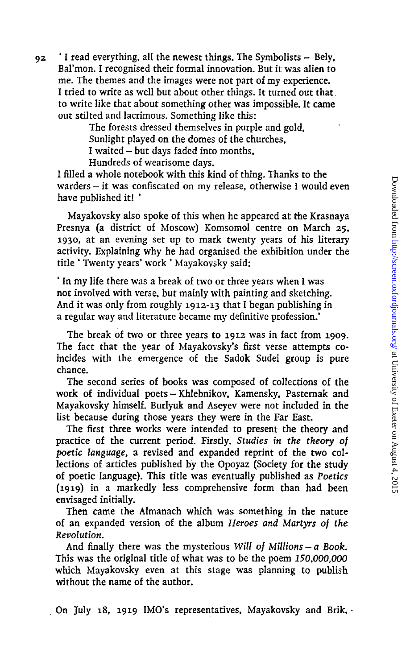92 'I read everything, all the newest things. The Symbolists - Bely, Bal'mon. I recognised their formal innovation. But it was alien to me. The themes and the images were not part of my experience. I tried to write as well but about other things. It turned out that, to write like that about something other was impossible. It came out stilted and Iacrimous. Something like this:

> The forests dressed themselves in purple and gold, Sunlight played on the domes of the churches, I waited  $-$  but days faded into months, Hundreds of wearisome days.

I filled a whole notebook with this kind of thing. Thanks to the warders — it was confiscated on my release, otherwise I would even have published it! '

Mayakovsky also spoke of this when he appeared at the Krasnaya Presnya (a district of Moscow) Komsomol centre on March 25, 1930, at an evening set up to mark twenty years of his literary activity. Explaining why he had organised the exhibition under the title ' Twenty years' work ' Mayakovsky said:

' In my life there was a break of two or three years when I was not involved with verse, but mainly with painting and sketching. And it was only from roughly 1912-13 that I began publishing in a regular way and literature became my definitive profession.'

The break of two or three years to 1912 was in fact from 1909. The fact that the year of Mayakovsky's first verse attempts coincides with the emergence of the Sadok Sudei group is pure chance.

The second series of books was composed of collections of the work of individual poets - Khlebnikov, Kamensky, Pasternak and Mayakovsky himself. Burlyuk and Aseyev were not included in the list because during those years they were in the Far East.

The first three works were intended to present the theory and practice of the current period. Firstly, *Studies in the theory of poetic language,* a revised and expanded reprint of the two collections of articles published by the Opoyaz (Society for the study of poetic language). This title was eventually published as *Poetics* (1919) in a markedly less comprehensive form than had been envisaged initially.

Then came the Almanach which was something in the nature of an expanded version of the album *Heroes and Martyrs of the Revolution.*

And finally there was the mysterious *Will of Millions* - *a Book.* This was the original title of what was to be the poem *150,000,000* which Mayakovsky even at this stage was planning to publish without the name of the author.

. On July 18, 1919 IMO's representatives, Mayakovsky and Brik, •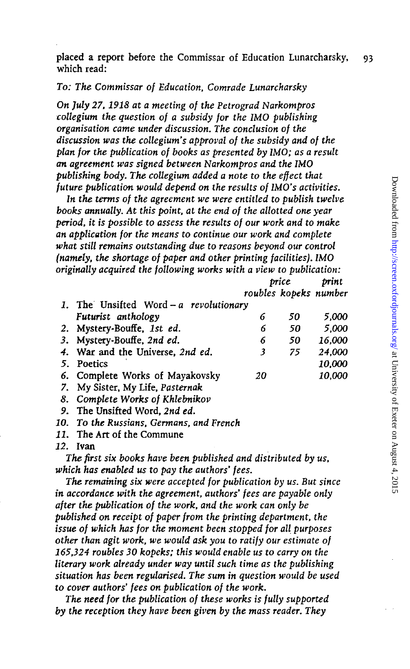placed **a** report before the Commissar of Education Lunarcharsky, which read: **93**

## *To: The Commissar of Education, Comrade Lunarcharsky*

*On ]uly 27.1918 at a meeting of the Petrograd Narkompros collegium the question of a subsidy for the 1MO publishing organisation came under discussion. The conclusion of the discussion was the collegium's approval of the subsidy and of the plan for the publication of books as presented by 1MO; as a result an agreement was signed between Narkompros and the IMO publishing body. The collegium added a note to the effect that future publication would depend on the results of IMO's activities.*

*In the terms of the agreement we were entitled to publish twelve books annually. At this point, at the end of the allotted one year period, it is possible to assess the results of our work and to make an application for the means to continue our work and complete what still remains outstanding due to reasons beyond our control (namely, the shortage of paper and other printing facilities). IMO originally acquired the following works with a view to publication:*

|                                        | price |    | print                 |
|----------------------------------------|-------|----|-----------------------|
|                                        |       |    | roubles kopeks number |
| 1. The Unsifted Word - a revolutionary |       |    |                       |
| Futurist anthology                     | 6     | 50 | 5.000                 |
| 2. Mystery-Bouffe, 1st ed.             | 6     | 50 | 5.000                 |
| 3. Mystery-Bouffe, 2nd ed.             | 6     | 50 | 16,000                |
| 4. War and the Universe, 2nd ed.       | 3     | 75 | 24.000                |
| 5. Poetics                             |       |    | 10,000                |
| 6. Complete Works of Mayakovsky        | 20    |    | 10,000                |
| 7. My Sister, My Life, Pasternak       |       |    |                       |

- *8. Complete Works of Khlebnikov*
- *9.* The Unsifted Word, *2nd ed.*
- *10. To the Russians, Germans, and French*
- *11.* The Art of the Commune
- *12.* **Ivan**

*The first six books have been published and distributed by us, which has enabled us to pay the authors' fees.*

*The remaining six were accepted for publication by us. But since in accordance with the agreement, authors' fees are payable only after the publication of the work, and the work can only be published on receipt of paper from the printing department, the issue of which has for the moment been stopped for all purposes other than agit work, we would ask you to ratify our estimate of 165,324 roubles 30 kopeks; this would enable us to carry on the literary work already under way until such time as the publishing situation has been regularised. The sum in question would be used to cover authors' fees on publication of the work.*

*The need for the publication of these works is fully supported by the reception they have been given by the mass reader. They*